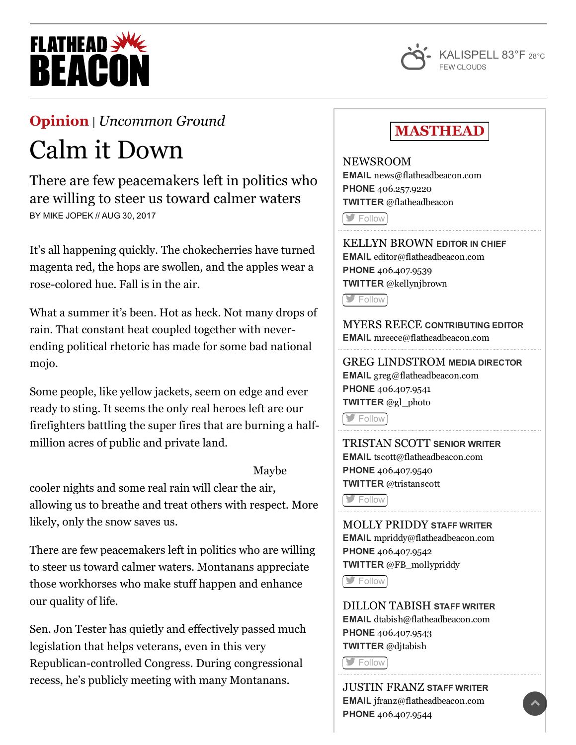



## [Opinion](http://flatheadbeacon.com/section/opinion/) | *[Uncommon](http://flatheadbeacon.com/section/opinion/uncommon-ground/) Ground*

## Calm it Down

There are few peacemakers left in politics who are willing to steer us toward calmer waters BY MIKE JOPEK // AUG 30, 2017

It's all happening quickly. The chokecherries have turned magenta red, the hops are swollen, and the apples wear a rose-colored hue. Fall is in the air.

What a summer it's been. Hot as heck. Not many drops of rain. That constant heat coupled together with neverending political rhetoric has made for some bad national mojo.

Some people, like yellow jackets, seem on edge and ever ready to sting. It seems the only real heroes left are our firefighters battling the super fires that are burning a halfmillion acres of public and private land.

Maybe

cooler nights and some real rain will clear the air, allowing us to breathe and treat others with respect. More likely, only the snow saves us.

There are few peacemakers left in politics who are willing to steer us toward calmer waters. Montanans appreciate those workhorses who make stuff happen and enhance our quality of life.

Sen. Jon Tester has quietly and effectively passed much legislation that helps veterans, even in this very Republican-controlled Congress. During congressional recess, he's publicly meeting with many Montanans.

## **MASTHEAD**

NEWSROOM EMAIL [news@flatheadbeacon.com](mailto:news@flatheadbeacon.com) PHONE [406.257.9220](tel:406.257.9220) TWITTER @flatheadbeacon

**[Follow](http://twitter.com/flatheadbeacon)** 

KELLYN BROWN EDITOR IN CHIEF EMAIL [editor@flatheadbeacon.com](mailto:editor@flatheadbeacon.com) PHONE [406.407.9539](tel:406.407.9539) TWITTER @kellynjbrown

[Follow](http://twitter.com/kellynjbrown)

MYERS REECE CONTRIBUTING EDITOR EMAIL [mreece@flatheadbeacon.com](mailto:mreece@flatheadbeacon.com)

GREG LINDSTROM MEDIA DIRECTOR EMAIL [greg@flatheadbeacon.com](mailto:greg@flatheadbeacon.com) PHONE [406.407.9541](tel:406.407.9541) TWITTER @gl\_photo

[Follow](http://twitter.com/gl_photo)

TRISTAN SCOTT SENIOR WRITER EMAIL [tscott@flatheadbeacon.com](mailto:tscott@flatheadbeacon.com) PHONE [406.407.9540](tel:406.407.9540) TWITTER @tristanscott

**[Follow](http://twitter.com/tristanscott)** 

MOLLY PRIDDY STAFF WRITER EMAIL [mpriddy@flatheadbeacon.com](mailto:mpriddy@flatheadbeacon.com) PHONE [406.407.9542](tel:406.407.9542) TWITTER @FB\_mollypriddy

**S** [Follow](http://twitter.com/FB_mollypriddy)

DILLON TABISH STAFF WRITER EMAIL [dtabish@flatheadbeacon.com](mailto:dtabish@flatheadbeacon.com) PHONE [406.407.9543](tel:406.407.9543) TWITTER @djtabish

**S**[Follow](http://twitter.com/djtabish)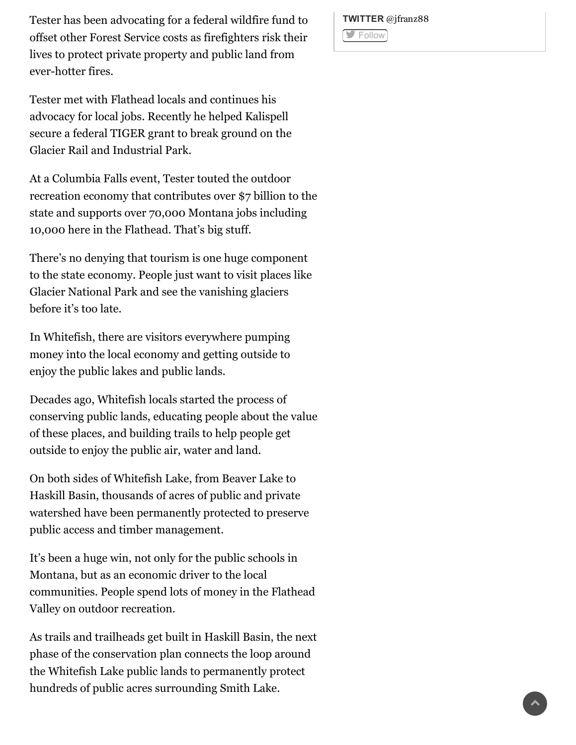Tester has been advocating for a federal wildfire fund to offset other Forest Service costs as firefighters risk their lives to protect private property and public land from ever-hotter fires.

Tester met with Flathead locals and continues his advocacy for local jobs. Recently he helped Kalispell secure a federal TIGER grant to break ground on the Glacier Rail and Industrial Park.

At a Columbia Falls event, Tester touted the outdoor recreation economy that contributes over \$7 billion to the state and supports over 70,000 Montana jobs including 10,000 here in the Flathead. That's big stuff.

There's no denying that tourism is one huge component to the state economy. People just want to visit places like Glacier National Park and see the vanishing glaciers before it's too late.

In Whitefish, there are visitors everywhere pumping money into the local economy and getting outside to enjoy the public lakes and public lands.

Decades ago, Whitefish locals started the process of conserving public lands, educating people about the value of these places, and building trails to help people get outside to enjoy the public air, water and land.

On both sides of Whitefish Lake, from Beaver Lake to Haskill Basin, thousands of acres of public and private watershed have been permanently protected to preserve public access and timber management.

It's been a huge win, not only for the public schools in Montana, but as an economic driver to the local communities. People spend lots of money in the Flathead Valley on outdoor recreation.

As trails and trailheads get built in Haskill Basin, the next phase of the conservation plan connects the loop around the Whitefish Lake public lands to permanently protect hundreds of public acres surrounding Smith Lake.

TWITTER @jfranz88 **[Follow](http://twitter.com/jfranz88)**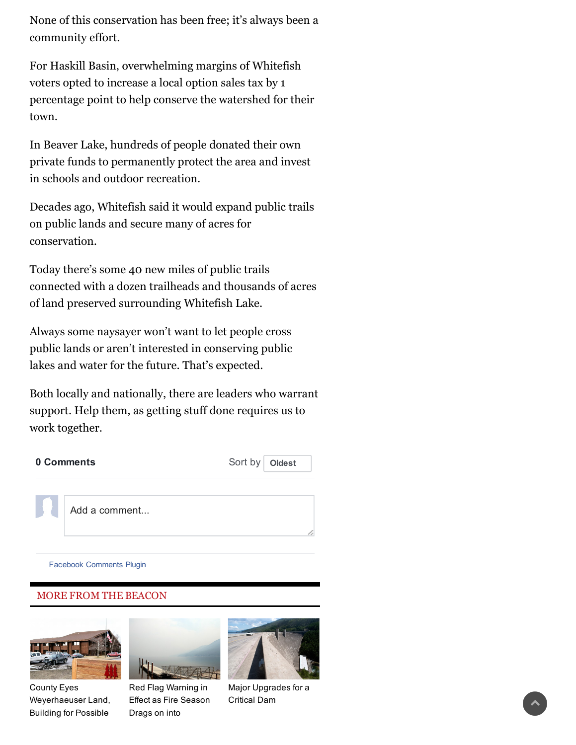None of this conservation has been free; it's always been a community effort.

For Haskill Basin, overwhelming margins of Whitefish voters opted to increase a local option sales tax by 1 percentage point to help conserve the watershed for their town.

In Beaver Lake, hundreds of people donated their own private funds to permanently protect the area and invest in schools and outdoor recreation.

Decades ago, Whitefish said it would expand public trails on public lands and secure many of acres for conservation.

Today there's some 40 new miles of public trails connected with a dozen trailheads and thousands of acres of land preserved surrounding Whitefish Lake.

Always some naysayer won't want to let people cross public lands or aren't interested in conserving public lakes and water for the future. That's expected.

Both locally and nationally, there are leaders who warrant support. Help them, as getting stuff done requires us to work together.

| 0 Comments |               | Sort by   Oldest |
|------------|---------------|------------------|
|            |               |                  |
|            | Add a comment |                  |

Facebook [Comments](https://developers.facebook.com/docs/plugins/comments/?utm_campaign=social_plugins&utm_medium=offsite_pages&utm_source=comments_plugin) Plugin

## MORE FROM THE BEACON



County Eyes [Weyerhaeuser](http://flatheadbeacon.com/2017/08/31/county-eyes-weyerhaeuser-land-building-possible-jail/) Land, Building for Possible



Red Flag [Warning](http://flatheadbeacon.com/2017/08/31/red-flag-warning-effect-fire-season-drags-september/) in Effect as Fire Season Drags on into



Major [Upgrades](http://flatheadbeacon.com/2017/08/31/major-upgrades-critical-dam/) for a Critical Dam<br>Critical Dam